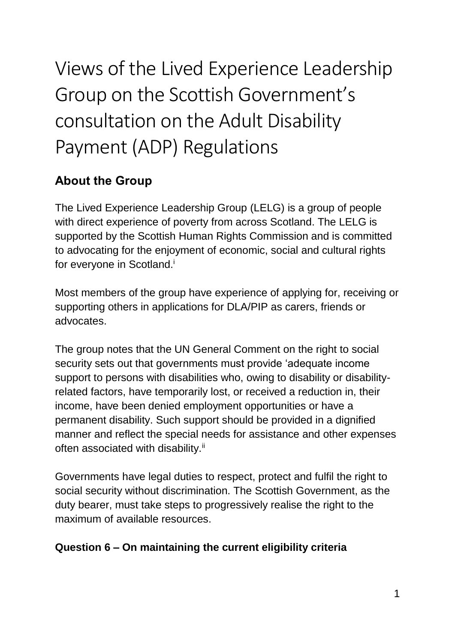# Views of the Lived Experience Leadership Group on the Scottish Government's consultation on the Adult Disability Payment (ADP) Regulations

# **About the Group**

The Lived Experience Leadership Group (LELG) is a group of people with direct experience of poverty from across Scotland. The LELG is supported by the Scottish Human Rights Commission and is committed to advocating for the enjoyment of economic, social and cultural rights for everyone in Scotland.<sup>i</sup>

Most members of the group have experience of applying for, receiving or supporting others in applications for DLA/PIP as carers, friends or advocates.

The group notes that the UN General Comment on the right to social security sets out that governments must provide 'adequate income support to persons with disabilities who, owing to disability or disabilityrelated factors, have temporarily lost, or received a reduction in, their income, have been denied employment opportunities or have a permanent disability. Such support should be provided in a dignified manner and reflect the special needs for assistance and other expenses often associated with disability.<sup>ii</sup>

Governments have legal duties to respect, protect and fulfil the right to social security without discrimination. The Scottish Government, as the duty bearer, must take steps to progressively realise the right to the maximum of available resources.

#### **Question 6 – On maintaining the current eligibility criteria**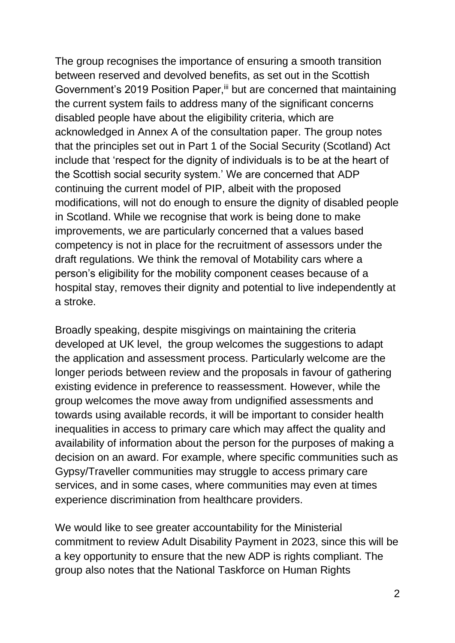The group recognises the importance of ensuring a smooth transition between reserved and devolved benefits, as set out in the Scottish Government's 2019 Position Paper, iii but are concerned that maintaining the current system fails to address many of the significant concerns disabled people have about the eligibility criteria, which are acknowledged in Annex A of the consultation paper. The group notes that the principles set out in Part 1 of the Social Security (Scotland) Act include that 'respect for the dignity of individuals is to be at the heart of the Scottish social security system.' We are concerned that ADP continuing the current model of PIP, albeit with the proposed modifications, will not do enough to ensure the dignity of disabled people in Scotland. While we recognise that work is being done to make improvements, we are particularly concerned that a values based competency is not in place for the recruitment of assessors under the draft regulations. We think the removal of Motability cars where a person's eligibility for the mobility component ceases because of a hospital stay, removes their dignity and potential to live independently at a stroke.

Broadly speaking, despite misgivings on maintaining the criteria developed at UK level, the group welcomes the suggestions to adapt the application and assessment process. Particularly welcome are the longer periods between review and the proposals in favour of gathering existing evidence in preference to reassessment. However, while the group welcomes the move away from undignified assessments and towards using available records, it will be important to consider health inequalities in access to primary care which may affect the quality and availability of information about the person for the purposes of making a decision on an award. For example, where specific communities such as Gypsy/Traveller communities may struggle to access primary care services, and in some cases, where communities may even at times experience discrimination from healthcare providers.

We would like to see greater accountability for the Ministerial commitment to review Adult Disability Payment in 2023, since this will be a key opportunity to ensure that the new ADP is rights compliant. The group also notes that the National Taskforce on Human Rights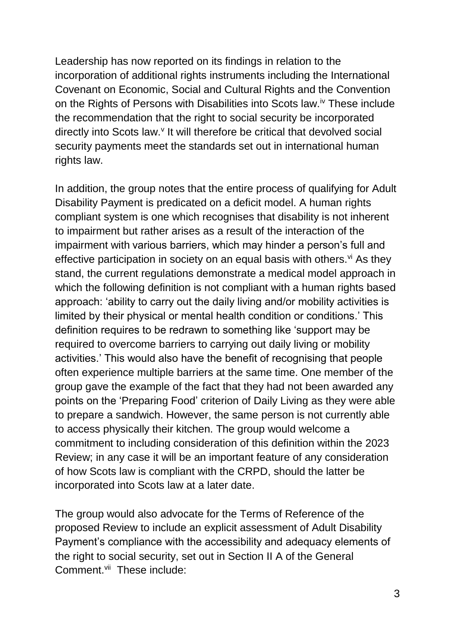Leadership has now reported on its findings in relation to the incorporation of additional rights instruments including the International Covenant on Economic, Social and Cultural Rights and the Convention on the Rights of Persons with Disabilities into Scots law.<sup>iv</sup> These include the recommendation that the right to social security be incorporated directly into Scots law.<sup>v</sup> It will therefore be critical that devolved social security payments meet the standards set out in international human rights law.

In addition, the group notes that the entire process of qualifying for Adult Disability Payment is predicated on a deficit model. A human rights compliant system is one which recognises that disability is not inherent to impairment but rather arises as a result of the interaction of the impairment with various barriers, which may hinder a person's full and effective participation in society on an equal basis with others. $\forall$ i As they stand, the current regulations demonstrate a medical model approach in which the following definition is not compliant with a human rights based approach: 'ability to carry out the daily living and/or mobility activities is limited by their physical or mental health condition or conditions.' This definition requires to be redrawn to something like 'support may be required to overcome barriers to carrying out daily living or mobility activities.' This would also have the benefit of recognising that people often experience multiple barriers at the same time. One member of the group gave the example of the fact that they had not been awarded any points on the 'Preparing Food' criterion of Daily Living as they were able to prepare a sandwich. However, the same person is not currently able to access physically their kitchen. The group would welcome a commitment to including consideration of this definition within the 2023 Review; in any case it will be an important feature of any consideration of how Scots law is compliant with the CRPD, should the latter be incorporated into Scots law at a later date.

The group would also advocate for the Terms of Reference of the proposed Review to include an explicit assessment of Adult Disability Payment's compliance with the accessibility and adequacy elements of the right to social security, set out in Section II A of the General Comment.<sup>vii</sup> These include: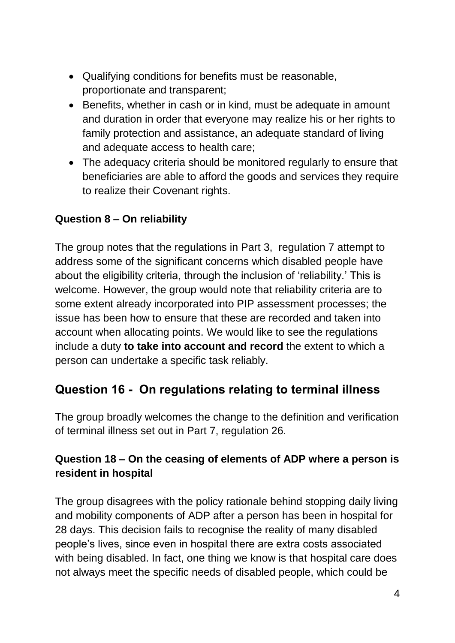- Qualifying conditions for benefits must be reasonable, proportionate and transparent;
- Benefits, whether in cash or in kind, must be adequate in amount and duration in order that everyone may realize his or her rights to family protection and assistance, an adequate standard of living and adequate access to health care;
- The adequacy criteria should be monitored regularly to ensure that beneficiaries are able to afford the goods and services they require to realize their Covenant rights.

#### **Question 8 – On reliability**

The group notes that the regulations in Part 3, regulation 7 attempt to address some of the significant concerns which disabled people have about the eligibility criteria, through the inclusion of 'reliability.' This is welcome. However, the group would note that reliability criteria are to some extent already incorporated into PIP assessment processes; the issue has been how to ensure that these are recorded and taken into account when allocating points. We would like to see the regulations include a duty **to take into account and record** the extent to which a person can undertake a specific task reliably.

## **Question 16 - On regulations relating to terminal illness**

The group broadly welcomes the change to the definition and verification of terminal illness set out in Part 7, regulation 26.

### **Question 18 – On the ceasing of elements of ADP where a person is resident in hospital**

The group disagrees with the policy rationale behind stopping daily living and mobility components of ADP after a person has been in hospital for 28 days. This decision fails to recognise the reality of many disabled people's lives, since even in hospital there are extra costs associated with being disabled. In fact, one thing we know is that hospital care does not always meet the specific needs of disabled people, which could be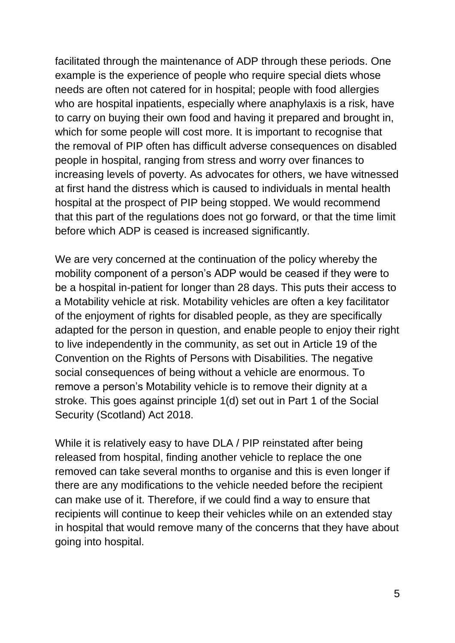facilitated through the maintenance of ADP through these periods. One example is the experience of people who require special diets whose needs are often not catered for in hospital; people with food allergies who are hospital inpatients, especially where anaphylaxis is a risk, have to carry on buying their own food and having it prepared and brought in, which for some people will cost more. It is important to recognise that the removal of PIP often has difficult adverse consequences on disabled people in hospital, ranging from stress and worry over finances to increasing levels of poverty. As advocates for others, we have witnessed at first hand the distress which is caused to individuals in mental health hospital at the prospect of PIP being stopped. We would recommend that this part of the regulations does not go forward, or that the time limit before which ADP is ceased is increased significantly.

We are very concerned at the continuation of the policy whereby the mobility component of a person's ADP would be ceased if they were to be a hospital in-patient for longer than 28 days. This puts their access to a Motability vehicle at risk. Motability vehicles are often a key facilitator of the enjoyment of rights for disabled people, as they are specifically adapted for the person in question, and enable people to enjoy their right to live independently in the community, as set out in Article 19 of the Convention on the Rights of Persons with Disabilities. The negative social consequences of being without a vehicle are enormous. To remove a person's Motability vehicle is to remove their dignity at a stroke. This goes against principle 1(d) set out in Part 1 of the Social Security (Scotland) Act 2018.

While it is relatively easy to have DLA / PIP reinstated after being released from hospital, finding another vehicle to replace the one removed can take several months to organise and this is even longer if there are any modifications to the vehicle needed before the recipient can make use of it. Therefore, if we could find a way to ensure that recipients will continue to keep their vehicles while on an extended stay in hospital that would remove many of the concerns that they have about going into hospital.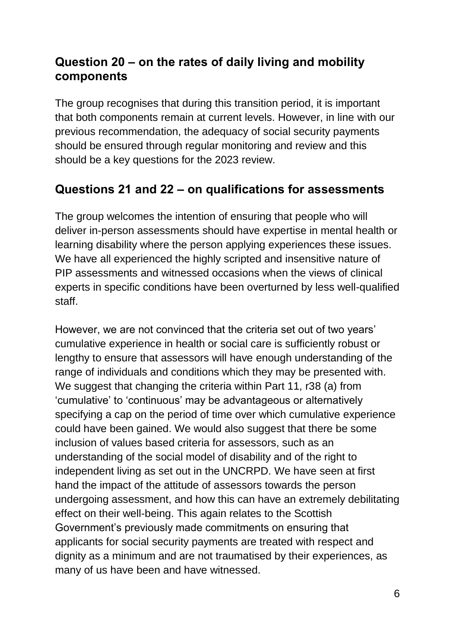## **Question 20 – on the rates of daily living and mobility components**

The group recognises that during this transition period, it is important that both components remain at current levels. However, in line with our previous recommendation, the adequacy of social security payments should be ensured through regular monitoring and review and this should be a key questions for the 2023 review.

## **Questions 21 and 22 – on qualifications for assessments**

The group welcomes the intention of ensuring that people who will deliver in-person assessments should have expertise in mental health or learning disability where the person applying experiences these issues. We have all experienced the highly scripted and insensitive nature of PIP assessments and witnessed occasions when the views of clinical experts in specific conditions have been overturned by less well-qualified staff.

However, we are not convinced that the criteria set out of two years' cumulative experience in health or social care is sufficiently robust or lengthy to ensure that assessors will have enough understanding of the range of individuals and conditions which they may be presented with. We suggest that changing the criteria within Part 11, r38 (a) from 'cumulative' to 'continuous' may be advantageous or alternatively specifying a cap on the period of time over which cumulative experience could have been gained. We would also suggest that there be some inclusion of values based criteria for assessors, such as an understanding of the social model of disability and of the right to independent living as set out in the UNCRPD. We have seen at first hand the impact of the attitude of assessors towards the person undergoing assessment, and how this can have an extremely debilitating effect on their well-being. This again relates to the Scottish Government's previously made commitments on ensuring that applicants for social security payments are treated with respect and dignity as a minimum and are not traumatised by their experiences, as many of us have been and have witnessed.